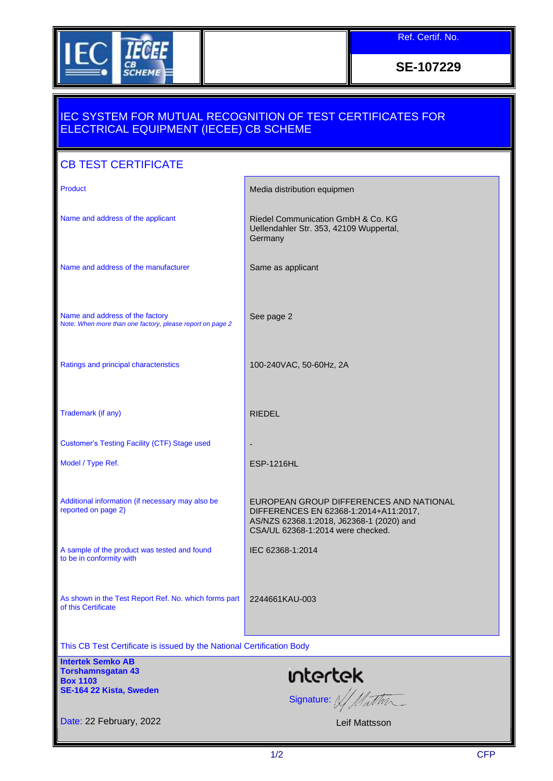

Ref. Certif. No.

**SE-107229**

## IEC SYSTEM FOR MUTUAL RECOGNITION OF TEST CERTIFICATES FOR ELECTRICAL EQUIPMENT (IECEE) CB SCHEME

| <b>CB TEST CERTIFICATE</b>                                                                         |                                                                                                                                                                   |
|----------------------------------------------------------------------------------------------------|-------------------------------------------------------------------------------------------------------------------------------------------------------------------|
| Product                                                                                            | Media distribution equipmen                                                                                                                                       |
| Name and address of the applicant                                                                  | Riedel Communication GmbH & Co. KG<br>Uellendahler Str. 353, 42109 Wuppertal,<br>Germany                                                                          |
| Name and address of the manufacturer                                                               | Same as applicant                                                                                                                                                 |
| Name and address of the factory<br>Note: When more than one factory, please report on page 2       | See page 2                                                                                                                                                        |
| Ratings and principal characteristics                                                              | 100-240VAC, 50-60Hz, 2A                                                                                                                                           |
| Trademark (if any)                                                                                 | <b>RIEDEL</b>                                                                                                                                                     |
| <b>Customer's Testing Facility (CTF) Stage used</b>                                                |                                                                                                                                                                   |
| Model / Type Ref.                                                                                  | <b>ESP-1216HL</b>                                                                                                                                                 |
| Additional information (if necessary may also be<br>reported on page 2)                            | EUROPEAN GROUP DIFFERENCES AND NATIONAL<br>DIFFERENCES EN 62368-1:2014+A11:2017,<br>AS/NZS 62368.1:2018, J62368-1 (2020) and<br>CSA/UL 62368-1:2014 were checked. |
| A sample of the product was tested and found<br>to be in conformity with                           | IEC 62368-1:2014                                                                                                                                                  |
| As shown in the Test Report Ref. No. which forms part<br>of this Certificate                       | 2244661KAU-003                                                                                                                                                    |
| This CB Test Certificate is issued by the National Certification Body                              |                                                                                                                                                                   |
| <b>Intertek Semko AB</b><br><b>Torshamnsgatan 43</b><br><b>Box 1103</b><br>SE-164 22 Kista, Sweden | ntertek<br>Signature: W/Matther                                                                                                                                   |
| Date: 22 February, 2022                                                                            | Leif Mattsson                                                                                                                                                     |